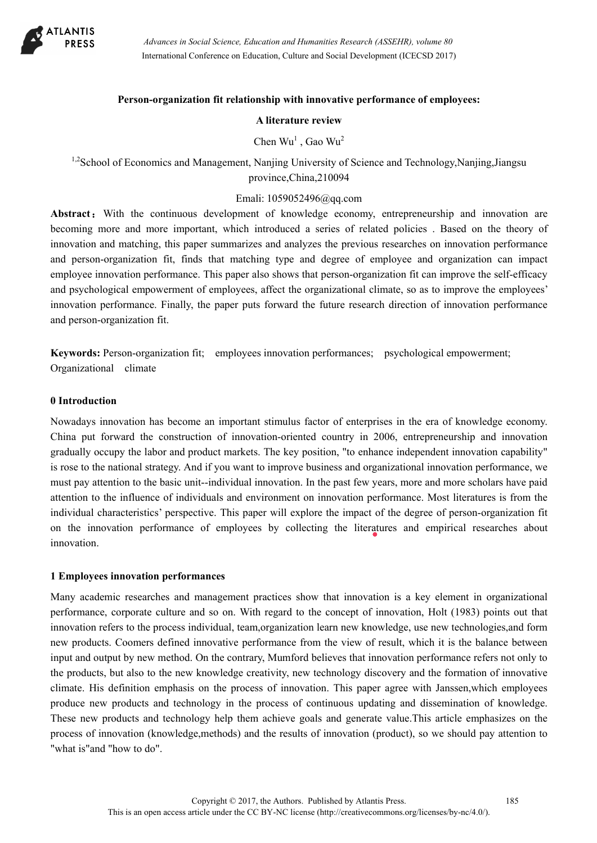

### **Person-organization fit relationship with innovative performance of employees:**

#### **A literature review**

Chen  $Wu<sup>1</sup>$ , Gao  $Wu<sup>2</sup>$ 

<sup>1,2</sup>School of Economics and Management, Nanjing University of Science and Technology,Nanjing,Jiangsu province,China,210094

### Emali: 1059052496@qq.com

Abstract: With the continuous development of knowledge economy, entrepreneurship and innovation are becoming more and more important, which introduced a series of related policies . Based on the theory of innovation and matching, this paper summarizes and analyzes the previous researches on innovation performance and person-organization fit, finds that matching type and degree of employee and organization can impact employee innovation performance. This paper also shows that person-organization fit can improve the self-efficacy and psychological empowerment of employees, affect the organizational climate, so as to improve the employees' innovation performance. Finally, the paper puts forward the future research direction of innovation performance and person-organization fit.

**Keywords:** Person-organization fit; employees innovation performances; psychological empowerment; Organizational climate

#### **0 Introduction**

Nowadays innovation has become an important stimulus factor of enterprises in the era of knowledge economy. China put forward the construction of innovation-oriented country in 2006, entrepreneurship and innovation gradually occupy the labor and product markets. The key position, "to enhance independent innovation capability" is rose to the national strategy. And if you want to improve business and organizational innovation performance, we must pay attention to the basic unit--individual innovation. In the past few years, more and more scholars have paid attention to the influence of individuals and environment on innovation performance. Most literatures is from the individual characteristics' perspective. This paper will explore the impact of the degree of person-organization fit on the innovation performance of employees by collecting the literatures and empirical researches about innovation.

### **1 Employees innovation performances**

Many academic researches and management practices show that innovation is a key element in organizational performance, corporate culture and so on. With regard to the concept of innovation, Holt (1983) points out that innovation refers to the process individual, team,organization learn new knowledge, use new technologies,and form new products. Coomers defined innovative performance from the view of result, which it is the balance between input and output by new method. On the contrary, Mumford believes that innovation performance refers not only to the products, but also to the new knowledge creativity, new technology discovery and the formation of innovative climate. His definition emphasis on the process of innovation. This paper agree with Janssen,which employees produce new products and technology in the process of continuous updating and dissemination of knowledge. These new products and technology help them achieve goals and generate value.This article emphasizes on the process of innovation (knowledge,methods) and the results of innovation (product), so we should pay attention to "what is"and "how to do".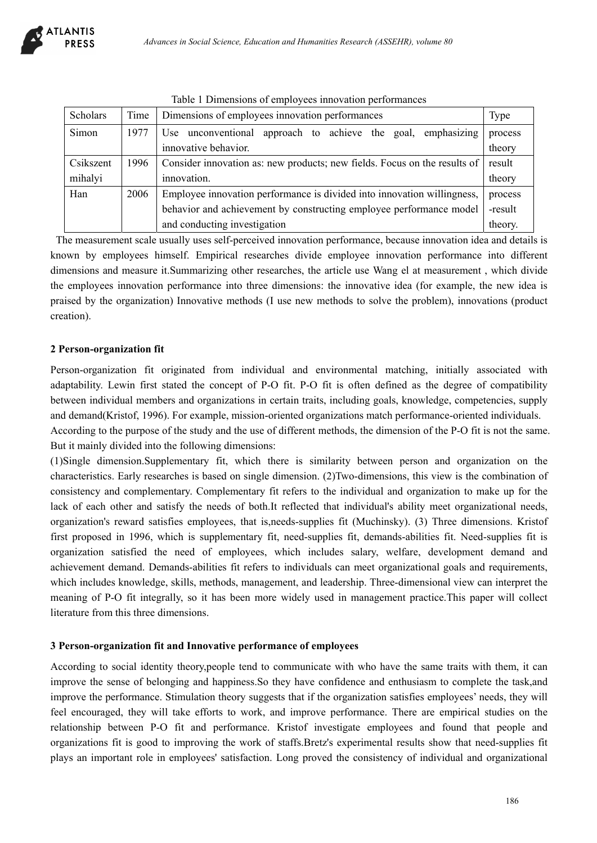| Scholars  | Time | Dimensions of employees innovation performances                           | Type    |
|-----------|------|---------------------------------------------------------------------------|---------|
| Simon     | 1977 | approach to achieve the goal, emphasizing<br>Use unconventional           | process |
|           |      | innovative behavior.                                                      | theory  |
| Csikszent | 1996 | Consider innovation as: new products; new fields. Focus on the results of | result  |
| mihalyi   |      | innovation.                                                               | theory  |
| Han       | 2006 | Employee innovation performance is divided into innovation willingness,   | process |
|           |      | behavior and achievement by constructing employee performance model       | -result |
|           |      | and conducting investigation                                              | theory. |

Table 1 Dimensions of employees innovation performances

 The measurement scale usually uses self-perceived innovation performance, because innovation idea and details is known by employees himself. Empirical researches divide employee innovation performance into different dimensions and measure it.Summarizing other researches, the article use Wang el at measurement , which divide the employees innovation performance into three dimensions: the innovative idea (for example, the new idea is praised by the organization) Innovative methods (I use new methods to solve the problem), innovations (product creation).

# **2 Person-organization fit**

Person-organization fit originated from individual and environmental matching, initially associated with adaptability. Lewin first stated the concept of P-O fit. P-O fit is often defined as the degree of compatibility between individual members and organizations in certain traits, including goals, knowledge, competencies, supply and demand(Kristof, 1996). For example, mission-oriented organizations match performance-oriented individuals.

According to the purpose of the study and the use of different methods, the dimension of the P-O fit is not the same. But it mainly divided into the following dimensions:

(1)Single dimension.Supplementary fit, which there is similarity between person and organization on the characteristics. Early researches is based on single dimension. (2)Two-dimensions, this view is the combination of consistency and complementary. Complementary fit refers to the individual and organization to make up for the lack of each other and satisfy the needs of both.It reflected that individual's ability meet organizational needs, organization's reward satisfies employees, that is,needs-supplies fit (Muchinsky). (3) Three dimensions. Kristof first proposed in 1996, which is supplementary fit, need-supplies fit, demands-abilities fit. Need-supplies fit is organization satisfied the need of employees, which includes salary, welfare, development demand and achievement demand. Demands-abilities fit refers to individuals can meet organizational goals and requirements, which includes knowledge, skills, methods, management, and leadership. Three-dimensional view can interpret the meaning of P-O fit integrally, so it has been more widely used in management practice.This paper will collect literature from this three dimensions.

## **3 Person-organization fit and Innovative performance of employees**

According to social identity theory,people tend to communicate with who have the same traits with them, it can improve the sense of belonging and happiness.So they have confidence and enthusiasm to complete the task,and improve the performance. Stimulation theory suggests that if the organization satisfies employees' needs, they will feel encouraged, they will take efforts to work, and improve performance. There are empirical studies on the relationship between P-O fit and performance. Kristof investigate employees and found that people and organizations fit is good to improving the work of staffs.Bretz's experimental results show that need-supplies fit plays an important role in employees' satisfaction. Long proved the consistency of individual and organizational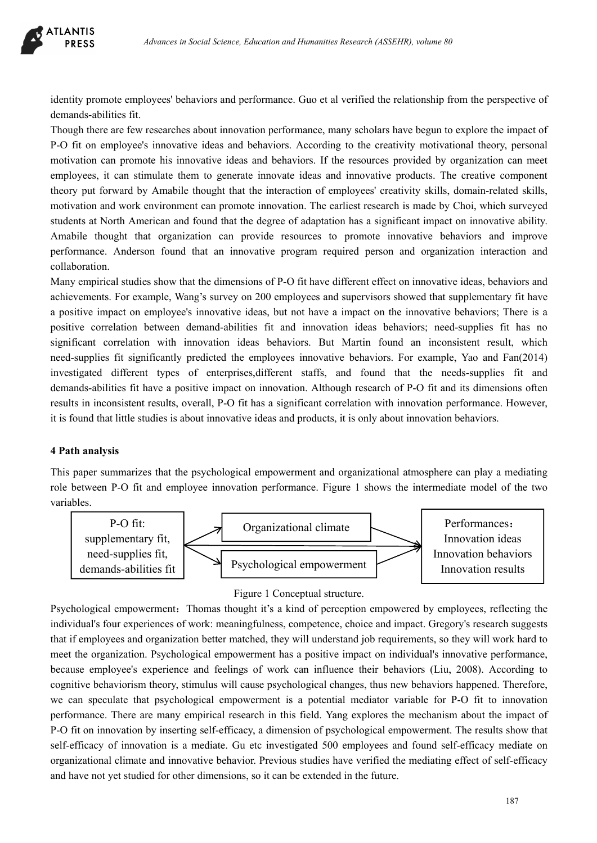identity promote employees' behaviors and performance. Guo et al verified the relationship from the perspective of demands-abilities fit.

Though there are few researches about innovation performance, many scholars have begun to explore the impact of P-O fit on employee's innovative ideas and behaviors. According to the creativity motivational theory, personal motivation can promote his innovative ideas and behaviors. If the resources provided by organization can meet employees, it can stimulate them to generate innovate ideas and innovative products. The creative component theory put forward by Amabile thought that the interaction of employees' creativity skills, domain-related skills, motivation and work environment can promote innovation. The earliest research is made by Choi, which surveyed students at North American and found that the degree of adaptation has a significant impact on innovative ability. Amabile thought that organization can provide resources to promote innovative behaviors and improve performance. Anderson found that an innovative program required person and organization interaction and collaboration.

Many empirical studies show that the dimensions of P-O fit have different effect on innovative ideas, behaviors and achievements. For example, Wang's survey on 200 employees and supervisors showed that supplementary fit have a positive impact on employee's innovative ideas, but not have a impact on the innovative behaviors; There is a positive correlation between demand-abilities fit and innovation ideas behaviors; need-supplies fit has no significant correlation with innovation ideas behaviors. But Martin found an inconsistent result, which need-supplies fit significantly predicted the employees innovative behaviors. For example, Yao and Fan(2014) investigated different types of enterprises,different staffs, and found that the needs-supplies fit and demands-abilities fit have a positive impact on innovation. Although research of P-O fit and its dimensions often results in inconsistent results, overall, P-O fit has a significant correlation with innovation performance. However, it is found that little studies is about innovative ideas and products, it is only about innovation behaviors.

## **4 Path analysis**

This paper summarizes that the psychological empowerment and organizational atmosphere can play a mediating role between P-O fit and employee innovation performance. Figure 1 shows the intermediate model of the two variables.



## Figure 1 Conceptual structure.

Psychological empowerment: Thomas thought it's a kind of perception empowered by employees, reflecting the individual's four experiences of work: meaningfulness, competence, choice and impact. Gregory's research suggests that if employees and organization better matched, they will understand job requirements, so they will work hard to meet the organization. Psychological empowerment has a positive impact on individual's innovative performance, because employee's experience and feelings of work can influence their behaviors (Liu, 2008). According to cognitive behaviorism theory, stimulus will cause psychological changes, thus new behaviors happened. Therefore, we can speculate that psychological empowerment is a potential mediator variable for P-O fit to innovation performance. There are many empirical research in this field. Yang explores the mechanism about the impact of P-O fit on innovation by inserting self-efficacy, a dimension of psychological empowerment. The results show that self-efficacy of innovation is a mediate. Gu etc investigated 500 employees and found self-efficacy mediate on organizational climate and innovative behavior. Previous studies have verified the mediating effect of self-efficacy and have not yet studied for other dimensions, so it can be extended in the future.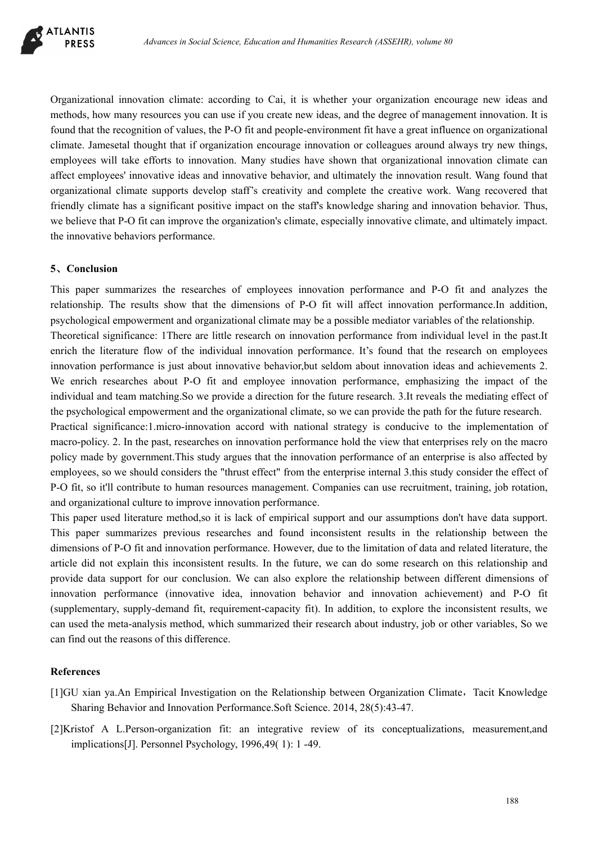

Organizational innovation climate: according to Cai, it is whether your organization encourage new ideas and methods, how many resources you can use if you create new ideas, and the degree of management innovation. It is found that the recognition of values, the P-O fit and people-environment fit have a great influence on organizational climate. Jamesetal thought that if organization encourage innovation or colleagues around always try new things, employees will take efforts to innovation. Many studies have shown that organizational innovation climate can affect employees' innovative ideas and innovative behavior, and ultimately the innovation result. Wang found that organizational climate supports develop staff's creativity and complete the creative work. Wang recovered that friendly climate has a significant positive impact on the staff's knowledge sharing and innovation behavior. Thus, we believe that P-O fit can improve the organization's climate, especially innovative climate, and ultimately impact. the innovative behaviors performance.

### **5**、**Conclusion**

This paper summarizes the researches of employees innovation performance and P-O fit and analyzes the relationship. The results show that the dimensions of P-O fit will affect innovation performance.In addition, psychological empowerment and organizational climate may be a possible mediator variables of the relationship. Theoretical significance: 1There are little research on innovation performance from individual level in the past.It enrich the literature flow of the individual innovation performance. It's found that the research on employees innovation performance is just about innovative behavior,but seldom about innovation ideas and achievements 2. We enrich researches about P-O fit and employee innovation performance, emphasizing the impact of the individual and team matching.So we provide a direction for the future research. 3.It reveals the mediating effect of the psychological empowerment and the organizational climate, so we can provide the path for the future research. Practical significance:1.micro-innovation accord with national strategy is conducive to the implementation of

macro-policy. 2. In the past, researches on innovation performance hold the view that enterprises rely on the macro policy made by government.This study argues that the innovation performance of an enterprise is also affected by employees, so we should considers the "thrust effect" from the enterprise internal 3.this study consider the effect of P-O fit, so it'll contribute to human resources management. Companies can use recruitment, training, job rotation, and organizational culture to improve innovation performance.

This paper used literature method,so it is lack of empirical support and our assumptions don't have data support. This paper summarizes previous researches and found inconsistent results in the relationship between the dimensions of P-O fit and innovation performance. However, due to the limitation of data and related literature, the article did not explain this inconsistent results. In the future, we can do some research on this relationship and provide data support for our conclusion. We can also explore the relationship between different dimensions of innovation performance (innovative idea, innovation behavior and innovation achievement) and P-O fit (supplementary, supply-demand fit, requirement-capacity fit). In addition, to explore the inconsistent results, we can used the meta-analysis method, which summarized their research about industry, job or other variables, So we can find out the reasons of this difference.

### **References**

- [1]GU xian ya.An Empirical Investigation on the Relationship between Organization Climate, Tacit Knowledge Sharing Behavior and Innovation Performance.Soft Science. 2014, 28(5):43-47.
- [2]Kristof A L.Person-organization fit: an integrative review of its conceptualizations, measurement,and implications[J]. Personnel Psychology, 1996,49( 1): 1 -49.